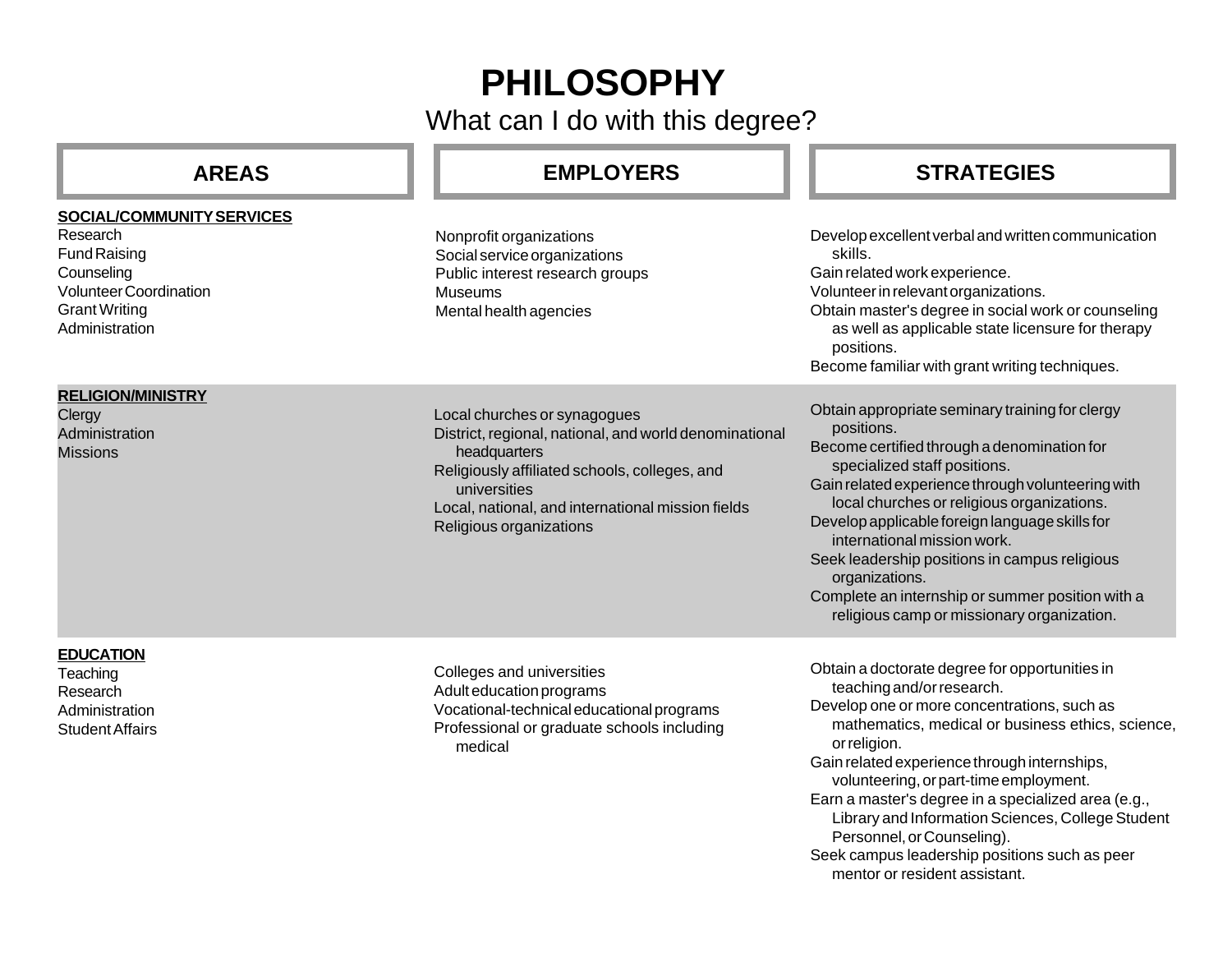# **PHILOSOPHY**

What can I do with this degree?

| <b>AREAS</b>                                                                                                                                          | <b>EMPLOYERS</b>                                                                                                                                                                                                                                        | <b>STRATEGIES</b>                                                                                                                                                                                                                                                                                                                                                                                                                                                                                                     |
|-------------------------------------------------------------------------------------------------------------------------------------------------------|---------------------------------------------------------------------------------------------------------------------------------------------------------------------------------------------------------------------------------------------------------|-----------------------------------------------------------------------------------------------------------------------------------------------------------------------------------------------------------------------------------------------------------------------------------------------------------------------------------------------------------------------------------------------------------------------------------------------------------------------------------------------------------------------|
| SOCIAL/COMMUNITY SERVICES<br>Research<br><b>Fund Raising</b><br>Counseling<br><b>Volunteer Coordination</b><br><b>Grant Writing</b><br>Administration | Nonprofit organizations<br>Social service organizations<br>Public interest research groups<br><b>Museums</b><br>Mental health agencies                                                                                                                  | Develop excellent verbal and written communication<br>skills.<br>Gain related work experience.<br>Volunteer in relevant organizations.<br>Obtain master's degree in social work or counseling<br>as well as applicable state licensure for therapy<br>positions.<br>Become familiar with grant writing techniques.                                                                                                                                                                                                    |
| <b>RELIGION/MINISTRY</b><br>Clergy<br>Administration<br><b>Missions</b>                                                                               | Local churches or synagogues<br>District, regional, national, and world denominational<br>headquarters<br>Religiously affiliated schools, colleges, and<br>universities<br>Local, national, and international mission fields<br>Religious organizations | Obtain appropriate seminary training for clergy<br>positions.<br>Become certified through a denomination for<br>specialized staff positions.<br>Gain related experience through volunteering with<br>local churches or religious organizations.<br>Develop applicable foreign language skills for<br>international mission work.<br>Seek leadership positions in campus religious<br>organizations.<br>Complete an internship or summer position with a<br>religious camp or missionary organization.                 |
| <b>EDUCATION</b><br>Teaching<br>Research<br>Administration<br><b>Student Affairs</b>                                                                  | Colleges and universities<br>Adult education programs<br>Vocational-technical educational programs<br>Professional or graduate schools including<br>medical                                                                                             | Obtain a doctorate degree for opportunities in<br>teaching and/or research.<br>Develop one or more concentrations, such as<br>mathematics, medical or business ethics, science,<br>or religion.<br>Gain related experience through internships,<br>volunteering, or part-time employment.<br>Earn a master's degree in a specialized area (e.g.,<br>Library and Information Sciences, College Student<br>Personnel, or Counseling).<br>Seek campus leadership positions such as peer<br>mentor or resident assistant. |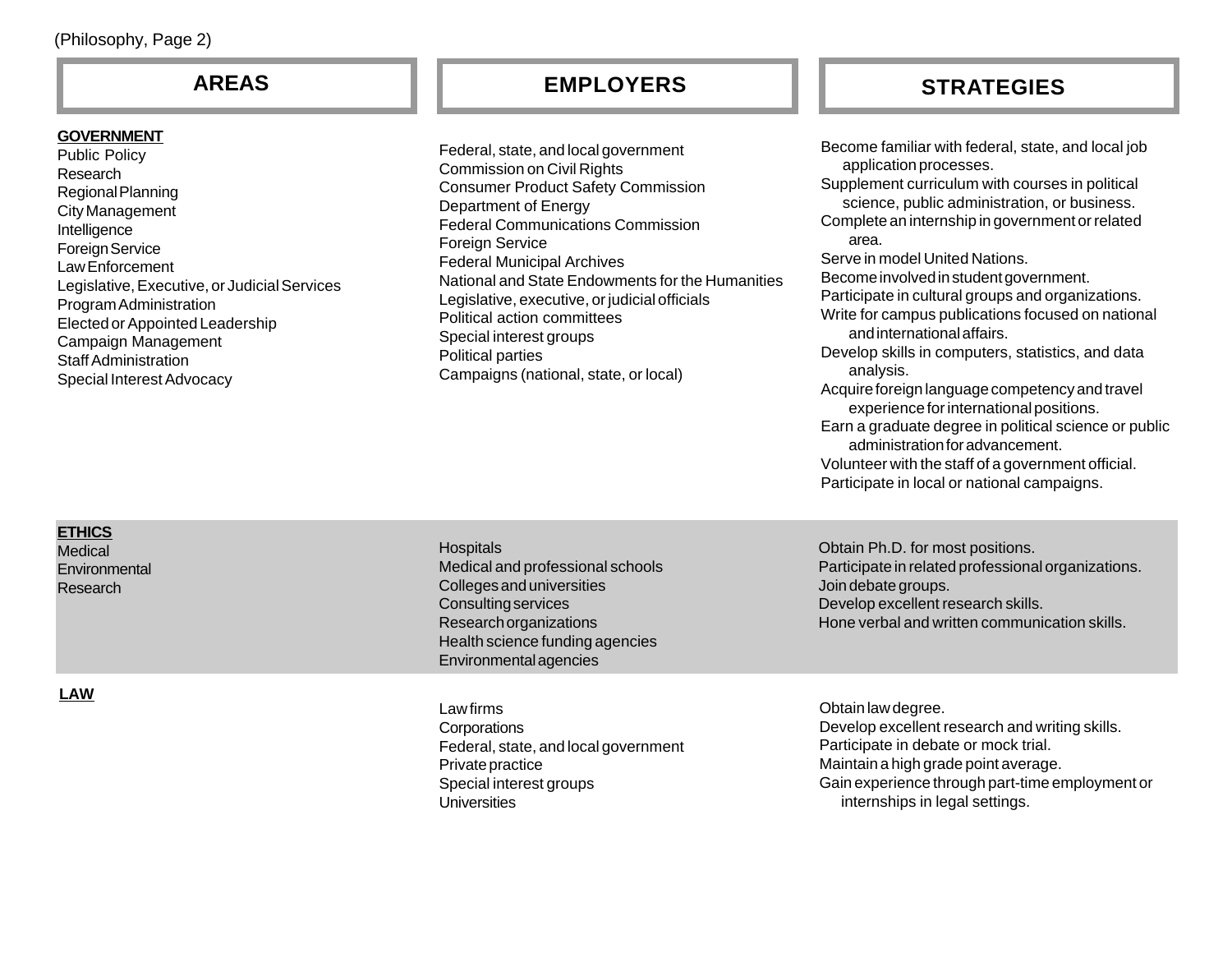# **GOVERNMENT**

Public Policy Research Regional Planning City Management Intelligence Foreign Service Law Enforcement Legislative, Executive, or Judicial Services Program Administration Elected or Appointed Leadership Campaign Management Staff Administration Special Interest Advocacy

Federal, state, and local government Commission on Civil Rights Consumer Product Safety Commission Department of Energy Federal Communications Commission **Foreign Service** Federal Municipal Archives National and State Endowments for the Humanities Legislative, executive, or judicial officials Political action committees Special interest groups Political parties Campaigns (national, state, or local)

# **AREAS EMPLOYERS STRATEGIES**

Become familiar with federal, state, and local job application processes. Supplement curriculum with courses in political science, public administration, or business. Complete an internship in government or related area. Serve in model United Nations. Become involved in student government. Participate in cultural groups and organizations. Write for campus publications focused on national and international affairs. Develop skills in computers, statistics, and data analysis. Acquire foreign language competency and travel experience for international positions. Earn a graduate degree in political science or public administration for advancement. Volunteer with the staff of a government official.

Participate in local or national campaigns.

### **ETHICS Medical**

**LAW**

**Environmental** Research

**Hospitals** Medical and professional schools Colleges and universities Consulting services Research organizations Health science funding agencies Environmental agencies

Law firms **Corporations** Federal, state, and local government Private practice Special interest groups **Universities** 

Obtain Ph.D. for most positions. Participate in related professional organizations. Join debate groups. Develop excellent research skills. Hone verbal and written communication skills.

Obtain law degree. Develop excellent research and writing skills. Participate in debate or mock trial. Maintain a high grade point average. Gain experience through part-time employment or internships in legal settings.